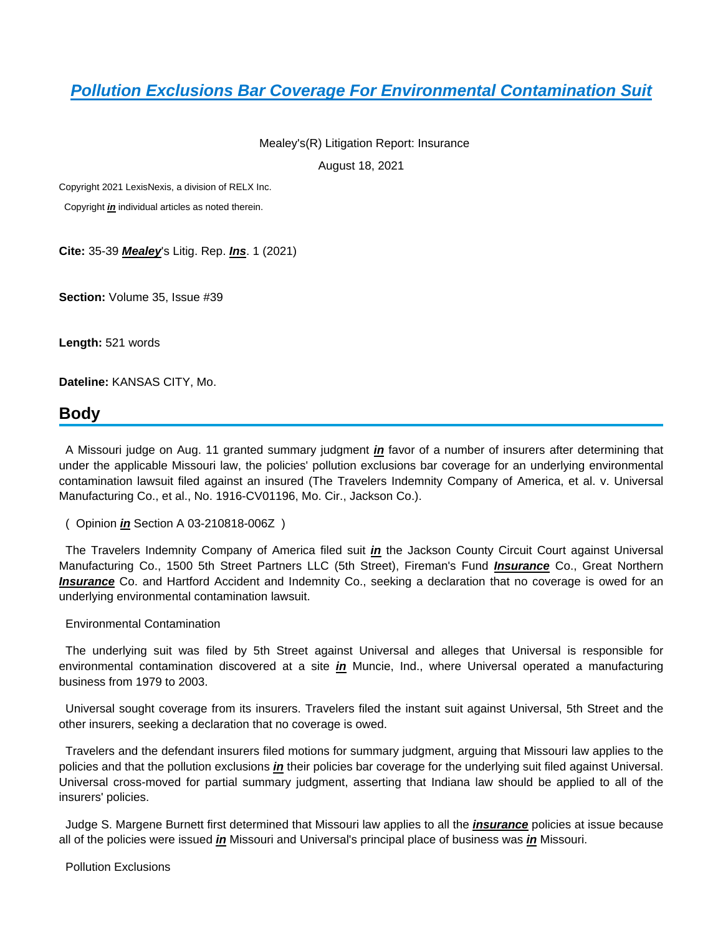## **[Pollution Exclusions Bar Coverage For Environmental Contamination Suit](https://plus.lexis.com/api/document?collection=legalnews&id=urn:contentItem:63D6-5BJ1-F5KY-B219-00000-00&context=1530671)**

Mealey's(R) Litigation Report: Insurance

August 18, 2021

Copyright 2021 LexisNexis, a division of RELX Inc.

Copyright **in** individual articles as noted therein.

**Cite:** 35-39 **Mealey**'s Litig. Rep. **Ins**. 1 (2021)

**Section:** Volume 35, Issue #39

**Length:** 521 words

**Dateline:** KANSAS CITY, Mo.

## **Body**

 A Missouri judge on Aug. 11 granted summary judgment **in** favor of a number of insurers after determining that under the applicable Missouri law, the policies' pollution exclusions bar coverage for an underlying environmental contamination lawsuit filed against an insured (The Travelers Indemnity Company of America, et al. v. Universal Manufacturing Co., et al., No. 1916-CV01196, Mo. Cir., Jackson Co.).

 The Travelers Indemnity Company of America filed suit **in** the Jackson County Circuit Court against Universal Manufacturing Co., 1500 5th Street Partners LLC (5th Street), Fireman's Fund **Insurance** Co., Great Northern **Insurance** Co. and Hartford Accident and Indemnity Co., seeking a declaration that no coverage is owed for an underlying environmental contamination lawsuit.

## Environmental Contamination

 The underlying suit was filed by 5th Street against Universal and alleges that Universal is responsible for environmental contamination discovered at a site **in** Muncie, Ind., where Universal operated a manufacturing business from 1979 to 2003.

 Universal sought coverage from its insurers. Travelers filed the instant suit against Universal, 5th Street and the other insurers, seeking a declaration that no coverage is owed.

 Travelers and the defendant insurers filed motions for summary judgment, arguing that Missouri law applies to the policies and that the pollution exclusions **in** their policies bar coverage for the underlying suit filed against Universal. Universal cross-moved for partial summary judgment, asserting that Indiana law should be applied to all of the insurers' policies.

 Judge S. Margene Burnett first determined that Missouri law applies to all the **insurance** policies at issue because all of the policies were issued **in** Missouri and Universal's principal place of business was **in** Missouri.

Pollution Exclusions

 <sup>(</sup> Opinion **in** Section A 03-210818-006Z )